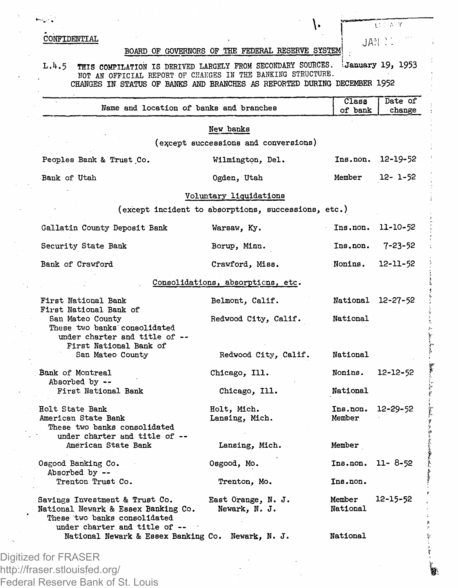$\text{COMFIDENTIAL}$  j  $\text{IAN}$   $\text{IAN}$   $\text{IAN}$   $\text{IAN}$   $\text{IAN}$   $\text{IAN}$   $\text{IAN}$   $\text{IAN}$   $\text{IAN}$   $\text{IAN}$   $\text{IAN}$   $\text{IAN}$   $\text{IAN}$   $\text{IAN}$   $\text{IAN}$   $\text{IAN}$   $\text{IAN}$   $\text{IAN}$   $\text{IAN}$   $\text{IAN}$   $\text{IAN}$   $\text{IAN}$   $\text{IAN}$ 

## BOARD OF GOVERNORS OF THE FEDERAL RESERVE SYSTEM! .

۱.

**LECTARY** 

## L.4.5 THIS COMPILATION IS DERIVED LARGELY FROM SECONDARY SOURCES. '.January *19,* 1953 NOT AN OFFICIAL REPORT OF CHANGES IN THE BANKING STRUCTURE. CHANGES IN STATUS OF BANKS AND BRANCHES AS REPORTED DURING DECEMBER 1952

|                                                                                                       | Name and location of banks and branches             | Class<br>of bank   | Date of<br>change |
|-------------------------------------------------------------------------------------------------------|-----------------------------------------------------|--------------------|-------------------|
|                                                                                                       | New banks                                           |                    |                   |
|                                                                                                       | (except successions and conversions)                |                    |                   |
| Peoples Bank & Trust Co.                                                                              | Wilmington, Del.                                    | Ins.non.           | 12-19-52          |
| Bank of Utah                                                                                          | Ogden, Utah                                         | Member             | 12- 1-52          |
|                                                                                                       | Voluntary liquidations                              |                    |                   |
|                                                                                                       | (except incident to absorptions, successions, etc.) |                    |                   |
| Gallatin County Deposit Bank                                                                          | Warsaw, Ky.                                         | Ins.non.           | 11-10-52          |
| Security State Bank                                                                                   | Borup, Minn.                                        | Ins.non.           | 7-23-52           |
| Bank of Crawford                                                                                      | Crawford, Miss.                                     | Nonins.            | 12-11-52          |
|                                                                                                       | Consolidations, absorptions, etc.                   |                    |                   |
| First National Bank                                                                                   | Belmont, Calif.                                     | National 12-27-52  |                   |
| First National Bank of<br>San Mateo County<br>These two banks consolidated                            | Redwood City, Calif.                                | National           |                   |
| under charter and title of --<br>First National Bank of<br>San Mateo County                           | Redwood City, Calif.                                | National           |                   |
| Bank of Montreal<br>Absorbed by --                                                                    | Chicago, Ill.                                       | Nonins.            | $12 - 12 - 52$    |
| First National Bank                                                                                   | Chicago, Ill.                                       | National           |                   |
| Holt State Bank<br>American State Bank<br>These two banks consolidated                                | Holt, Mich.<br>Lansing, Mich.                       | Ins.non.<br>Member | 12-29-52          |
| under charter and title of --<br>American State Bank                                                  | Lansing, Mich.                                      | Member             |                   |
| Osgood Banking Co.                                                                                    | Osgood, Mo.                                         | Ins.non.           | $11 - 8 - 52$     |
| Absorbed by --<br>Trenton Trust Co.                                                                   | Trenton, Mo.                                        | Ins.non.           |                   |
| Savings Investment & Trust Co.<br>National Newark & Essex Banking Co.<br>These two banks consolidated | East Orange, N. J.<br>Newark, N. J.                 | Member<br>National | 12-15-52          |
| under charter and title of --<br>National Newark & Essex Banking Co. Newark, N. J.                    |                                                     | National           |                   |

http://fraser.stlouisfed.org/ Federal Reserve Bank of St. Louis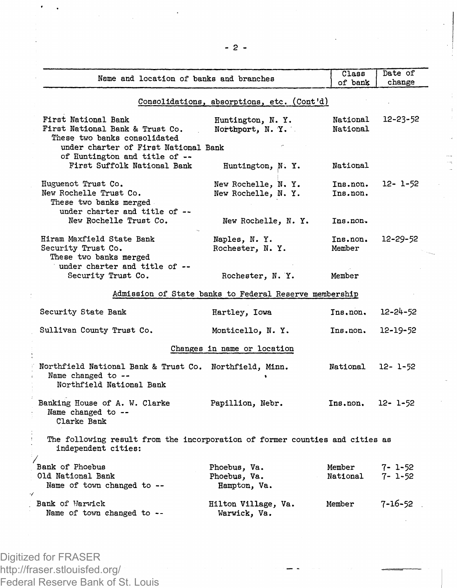| Name and location of banks and branches                                                                                        |                                              | Class<br>of bank     | Date of<br>change       |  |  |  |  |
|--------------------------------------------------------------------------------------------------------------------------------|----------------------------------------------|----------------------|-------------------------|--|--|--|--|
|                                                                                                                                | Consolidations, absorptions, etc. (Cont'd)   |                      |                         |  |  |  |  |
| First National Bank<br>First National Bank & Trust Co.<br>These two banks consolidated<br>under charter of First National Bank | Huntington, N.Y.<br>Northport, N.Y.          | National<br>National | 12-23-52                |  |  |  |  |
| of Huntington and title of --<br>First Suffolk National Bank                                                                   | Huntington, N.Y.                             | National             |                         |  |  |  |  |
| Huguenot Trust Co.<br>New Rochelle Trust Co.<br>These two banks merged<br>under charter and title of --                        | New Rochelle, N.Y.<br>New Rochelle, N. Y.    | Ins.non.<br>Ins.non. | 12- 1-52                |  |  |  |  |
| New Rochelle Trust Co.                                                                                                         | New Rochelle, N.Y.                           | Ins.non.             |                         |  |  |  |  |
| Hiram Maxfield State Bank<br>Security Trust Co.<br>These two banks merged<br>under charter and title of --                     | Naples, N.Y.<br>Rochester, N.Y.              | Ins.non.<br>Member   | 12-29-52                |  |  |  |  |
| Security Trust Co.                                                                                                             | Rochester, N.Y.                              | Member               |                         |  |  |  |  |
| Admission of State banks to Federal Reserve membership                                                                         |                                              |                      |                         |  |  |  |  |
| Security State Bank                                                                                                            | Hartley, Iowa                                | Ins.non.             | $12 - 24 - 52$          |  |  |  |  |
| Sullivan County Trust Co.                                                                                                      | Monticello, N.Y.                             | Ins.non.             | $12 - 19 - 52$          |  |  |  |  |
| Changes in name or location                                                                                                    |                                              |                      |                         |  |  |  |  |
| Northfield National Bank & Trust Co. Northfield, Minn.<br>Name changed to --<br>Northfield National Bank                       |                                              | National             | 12- 1-52                |  |  |  |  |
| Banking House of A. W. Clarke<br>Name changed to --<br>Clarke Bank                                                             | Papillion, Nebr.                             | Ins.non.             | $12 - 1 - 52$           |  |  |  |  |
| The following result from the incorporation of former counties and cities as<br>independent cities:                            |                                              |                      |                         |  |  |  |  |
| Bank of Phoebus<br>Old National Bank<br>Name of town changed to --<br>$\cdot$                                                  | Phoebus, Va.<br>Phoebus, Va.<br>Hampton, Va. | Member<br>National   | 7- 1-52<br>$7 - 1 - 52$ |  |  |  |  |
| Bank of Warwick<br>Name of town changed to --                                                                                  | Hilton Village, Va.<br>Warwick, Va.          | Member               | $7 - 16 - 52$           |  |  |  |  |

Digitized for FRASER http://fraser.stlouisfed.org/ Federal Reserve Bank of St. Louis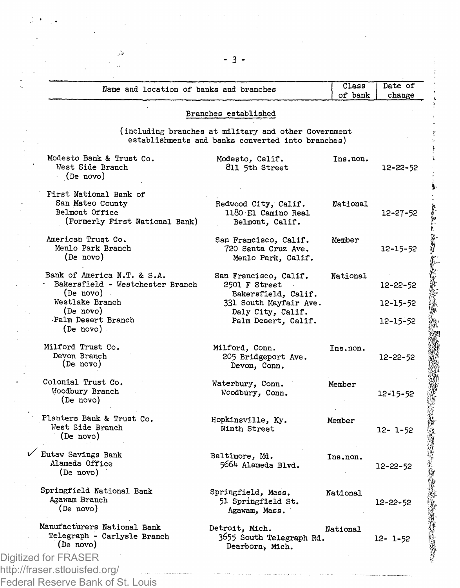| Name and location of banks and branches                           |                                                      | Class<br>of bank | change         |
|-------------------------------------------------------------------|------------------------------------------------------|------------------|----------------|
|                                                                   | Branches established                                 |                  |                |
|                                                                   | (including branches at military and other Government |                  |                |
|                                                                   | establishments and banks converted into branches)    |                  |                |
| Modesto Bank & Trust Co.<br>West Side Branch<br>$\cdot$ (De novo) | Modesto, Calif.<br>811 5th Street                    | Ins.non.         | 12-22-52       |
| First National Bank of                                            |                                                      |                  |                |
| San Mateo County                                                  | Redwood City, Calif.                                 | National         |                |
| Belmont Office                                                    | 1180 El Camino Real                                  |                  | $12 - 27 - 52$ |
| (Formerly First National Bank)                                    | Belmont, Calif.                                      |                  |                |
| American Trust Co.                                                | San Francisco, Calif.                                | Member           |                |
| Menlo Park Branch                                                 | 720 Santa Cruz Ave.                                  |                  | 12-15-52       |
| (De novo)                                                         | Menlo Park, Calif.                                   |                  |                |
| Bank of America N.T. & S.A.                                       | San Francisco, Calif.                                | National         |                |
| Bakersfield - Westchester Branch                                  | 2501 F Street                                        |                  | 12-22-52       |
| (De novo).                                                        | Bakersfield, Calif.                                  |                  |                |
| Westlake Branch                                                   | 331 South Mayfair Ave.                               |                  | $12 - 15 - 52$ |
| (De novo)                                                         | Daly City, Calif.                                    |                  |                |
| Palm Desert Branch                                                | Palm Desert, Calif.                                  |                  | 12-15-52       |
| $(De novo)$ .                                                     |                                                      |                  |                |
| Milford Trust Co.                                                 | Milford, Conn.                                       | Ins.non.         |                |
| Devon Branch                                                      | 205 Bridgeport Ave.                                  |                  | 12-22-52       |
| (De novo)                                                         | Devon, Conn.                                         |                  |                |
| Colonial Trust Co.                                                | Waterbury, Conn.                                     | Member           |                |
| Woodbury Branch                                                   | Woodbury, Conn.                                      |                  | 12-15-52       |
| (De novo)                                                         |                                                      |                  |                |
| Planters Bank & Trust Co.                                         | Hopkinsville, Ky.                                    | Member           |                |
| West Side Branch                                                  | Ninth Street                                         |                  | $12 - 1 - 52$  |
| (De novo)                                                         |                                                      |                  |                |
| Eutaw Savings Bank                                                | Baltimore, Md.                                       | Ins.non.         |                |
| Alameda Office                                                    | 5664 Alameda Blvd.                                   |                  | $12 - 22 - 52$ |
| (De novo)                                                         |                                                      |                  |                |
| Springfield National Bank                                         | Springfield, Mass.                                   | National         |                |
| Agawam Branch                                                     | 51 Springfield St.                                   |                  | 12-22-52       |
| (De novo)                                                         | Agawam, Mass.                                        |                  |                |
| Manufacturers National Bank                                       | Detroit, Mich.                                       | National         |                |
| Telegraph - Carlysle Branch                                       | 3655 South Telegraph Rd.                             |                  | $12 - 1 - 52$  |
| (De novo)                                                         | Dearborn, Mich.                                      |                  |                |
| Digitized for FRASER                                              |                                                      |                  |                |
| http://fraser.stlouisfed.org/                                     |                                                      |                  |                |

Federal Reserve Bank of St. Louis

 $3 -$ 

 $\hat{\mathcal{D}}$ j,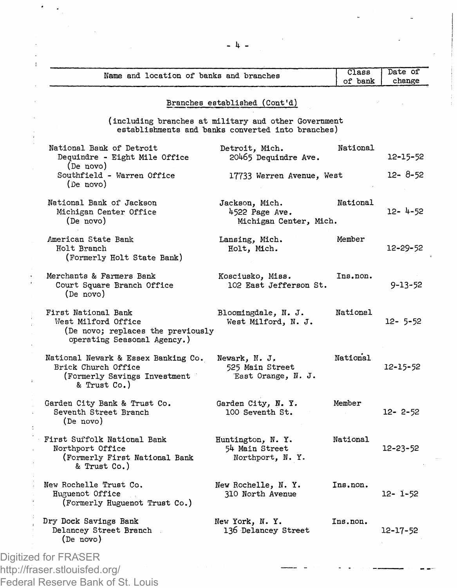|                                                                                                                | Branches established (Cont'd)                                                                             |          |                |
|----------------------------------------------------------------------------------------------------------------|-----------------------------------------------------------------------------------------------------------|----------|----------------|
|                                                                                                                | (including branches at military and other Government<br>establishments and banks converted into branches) |          |                |
| National Bank of Detroit<br>Dequindre - Eight Mile Office<br>(De novo)                                         | Detroit, Mich.<br>20465 Dequindre Ave.                                                                    | National | 12-15-52       |
| Southfield - Warren Office<br>(De novo)                                                                        | 17733 Warren Avenue, West                                                                                 |          | 12- 8-52       |
| National Bank of Jackson<br>Michigan Center Office<br>(De novo)                                                | Jackson, Mich.<br>4522 Page Ave.<br>Michigan Center, Mich.                                                | National | 12-4-52        |
| American State Bank<br>Holt Branch<br>(Formerly Holt State Bank)                                               | Lansing, Mich.<br>Holt, Mich.                                                                             | Member   | 12-29-52       |
| Merchants & Farmers Bank<br>Court Square Branch Office<br>(De novo)                                            | Kosciusko, Miss.<br>102 East Jefferson St.                                                                | Ins.non. | $9 - 13 - 52$  |
| First National Bank<br>West Milford Office<br>(De novo; replaces the previously<br>operating Seasonal Agency.) | Bloomingdale, N. J.<br>West Milford, N. J.                                                                | National | $12 - 5 - 52$  |
| National Newark & Essex Banking Co.<br>Brick Church Office<br>(Formerly Savings Investment<br>& Trust Co.)     | Newark, N. J.<br>525 Main Street<br>East Orange, N. J.                                                    | National | 12-15-52       |
| Garden City Bank & Trust Co.<br>Seventh Street Branch<br>(De novo)                                             | Garden City, N. Y.<br>100 Seventh St.                                                                     | Member   | $12 - 2 - 52$  |
| First Suffolk National Bank<br>Northport Office<br>(Formerly First National Bank<br>& Trust Co.)               | Huntington, N.Y.<br>54 Main Street<br>Northport, N.Y.                                                     | National | $12 - 23 - 52$ |
| New Rochelle Trust Co.<br>Huguenot Office<br>(Formerly Huguenot Trust Co.)                                     | New Rochelle, N. Y.<br>310 North Avenue                                                                   | Ins.non. | 12- 1-52       |
| Dry Dock Savings Bank<br>Delancey Street Branch<br>(De novo)                                                   | New York, N.Y.<br>136 Delancey Street                                                                     | Ins.non. | 12-17-52       |

- 4 -

 $\cdot$  $\lambda$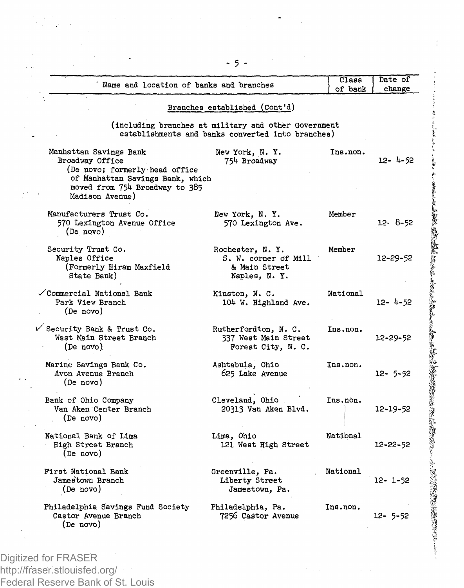| Name and location of banks and branches                                                                                                                              |                                                                                                           | Class    | Date of       |
|----------------------------------------------------------------------------------------------------------------------------------------------------------------------|-----------------------------------------------------------------------------------------------------------|----------|---------------|
|                                                                                                                                                                      |                                                                                                           | of bank  | change        |
|                                                                                                                                                                      | Branches established (Cont'd)                                                                             |          |               |
|                                                                                                                                                                      | (including branches at military and other Government<br>establishments and banks converted into branches) |          |               |
| Manhattan Savings Bank<br>Broadway Office<br>(De novo; formerly head office<br>of Manhattan Savings Bank, which<br>moved from 754 Broadway to 385<br>Madison Avenue) | New York, N.Y.<br>754 Broadway                                                                            | Ins.non. | 12- 4-52      |
| Manufacturers Trust Co.<br>570 Lexington Avenue Office<br>(De novo)                                                                                                  | New York, N.Y.<br>570 Lexington Ave.                                                                      | Member   | $12.8 - 52$   |
| Security Trust Co.<br>Naples Office<br>(Formerly Hiram Maxfield<br>State Bank)                                                                                       | Rochester, N.Y.<br>S. W. corner of Mill<br>& Main Street<br>Naples, N.Y.                                  | Member   | 12-29-52      |
| ✓Commercial National Bank<br>Park View Branch<br>(De novo)                                                                                                           | Kinston, N. C.<br>104 W. Highland Ave.                                                                    | National | $12 - 4 - 52$ |
| $\sqrt{\ }$ Security Bank & Trust Co.<br>West Main Street Branch<br>(De novo)                                                                                        | Rutherfordton, N. C.<br>337 West Main Street<br>Forest City, N. C.                                        | Ins.non. | 12-29-52      |
| Marine Savings Bank Co.<br>Avon Avenue Branch<br>(De novo)                                                                                                           | Ashtabula, Ohio<br>625 Lake Avenue                                                                        | Ins.non. | $12 - 5 - 52$ |
| Bank of Ohio Company<br>Van Aken Center Branch<br>(De novo)                                                                                                          | Cleveland, Ohio<br>20313 Van Aken Blvd.                                                                   | Ins.non. | 12-19-52      |
| National Bank of Lima<br>High Street Branch<br>(De novo)                                                                                                             | Lima, Ohio<br>121 West High Street                                                                        | National | 12-22-52      |
| First National Bank<br>Jamestown Branch<br>(De novo)                                                                                                                 | Greenville, Pa.<br>Liberty Street<br>Jamestown, Pa.                                                       | National | $12 - 1 - 52$ |
| Philadelphia Savings Fund Society<br>Castor Avenue Branch<br>(De novo)                                                                                               | Philadelphia, Pa.<br>7256 Castor Avenue                                                                   | Ins.non. | 12- 5-52      |

Digitized for FRASER http://fraser.stlouisfed.org/ Federal Reserve Bank of St. Louis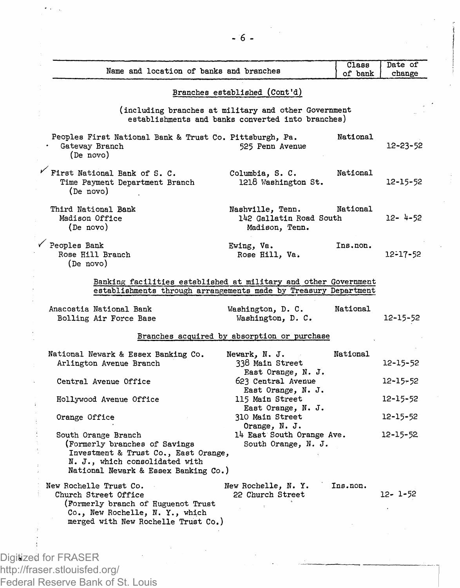| Name and location of banks and branches                                      | of bank                            | Date of<br>change                                                                                                                                                                                                                                                                                                                                                                         |
|------------------------------------------------------------------------------|------------------------------------|-------------------------------------------------------------------------------------------------------------------------------------------------------------------------------------------------------------------------------------------------------------------------------------------------------------------------------------------------------------------------------------------|
| Branches established (Cont'd)                                                |                                    |                                                                                                                                                                                                                                                                                                                                                                                           |
|                                                                              |                                    |                                                                                                                                                                                                                                                                                                                                                                                           |
| Peoples First National Bank & Trust Co. Pittsburgh, Pa.<br>525 Penn Avenue   | National                           | 12-23-52                                                                                                                                                                                                                                                                                                                                                                                  |
| Columbia, S. C.<br>1218 Washington St.                                       | National                           | 12-15-52                                                                                                                                                                                                                                                                                                                                                                                  |
| Nashville, Tenn.<br>Madison, Tenn.                                           | National                           | $12 - 4 - 52$                                                                                                                                                                                                                                                                                                                                                                             |
| Ewing, Va.<br>Rose Hill, Va.                                                 | Ins.non.                           | $12 - 17 - 52$                                                                                                                                                                                                                                                                                                                                                                            |
| Washington, D. C.<br>Washington, D. C.                                       | National                           | 12-15-52                                                                                                                                                                                                                                                                                                                                                                                  |
|                                                                              |                                    |                                                                                                                                                                                                                                                                                                                                                                                           |
| Newark, N. J.<br>338 Main Street<br>East Orange, N. J.                       | National                           | 12-15-52                                                                                                                                                                                                                                                                                                                                                                                  |
| 623 Central Avenue<br>East Orange, N. J.                                     |                                    | $12 - 15 - 52$                                                                                                                                                                                                                                                                                                                                                                            |
| East Orange. N. J.                                                           |                                    | $12 - 15 - 52$                                                                                                                                                                                                                                                                                                                                                                            |
| Orange, N. J.                                                                |                                    | $12 - 15 - 52$                                                                                                                                                                                                                                                                                                                                                                            |
| Investment & Trust Co., East Orange,<br>National Newark & Essex Banking Co.) |                                    | 12-15-52                                                                                                                                                                                                                                                                                                                                                                                  |
| New Rochelle, N.Y.<br>22 Church Street                                       | Ins.non.                           | 12- 1-52                                                                                                                                                                                                                                                                                                                                                                                  |
|                                                                              | 115 Main Street<br>310 Main Street | $C1$ ass<br>(including branches at military and other Government<br>establishments and banks converted into branches)<br>142 Gallatin Road South<br>Banking facilities established at military and other Government<br>establishments through arrangements made by Treasury Department<br>Branches acquired by absorption or purchase<br>14 East South Orange Ave.<br>South Orange, N. J. |

Digitized for FRASER http://fraser.stlouisfed.org/ Federal Reserve Bank of St. Louis

 $\ddot{\phantom{a}}$